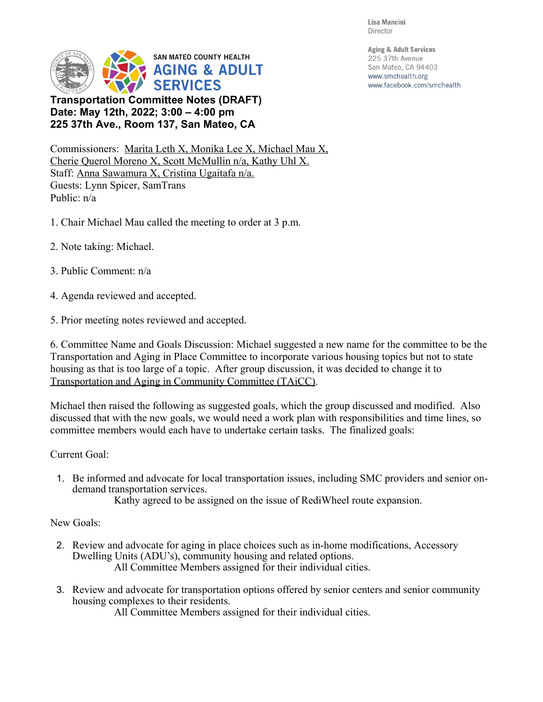Lisa Mancini Director

**Aging & Adult Services** 

225 37th Avenue San Mateo, CA 94403

www.smchealth.org

www.facebook.com/smchealth



**Transportation Committee Notes (DRAFT) Date: May 12th, 2022; 3:00 4:00 pm 225 37th Ave., Room 137, San Mateo, CA**

Commissioners: Marita Leth X, Monika Lee X, Michael Mau X, Cherie Querol Moreno X, Scott McMullin n/a, Kathy Uhl X. Staff: Anna Sawamura X, Cristina Ugaitafa n/a. Guests: Lynn Spicer, SamTrans Public: n/a

- 1. Chair Michael Mau called the meeting to order at 3 p.m.
- 2. Note taking: Michael.
- 3. Public Comment: n/a
- 4. Agenda reviewed and accepted.
- 5. Prior meeting notes reviewed and accepted.

6. Committee Name and Goals Discussion: Michael suggested a new name for the committee to be the Transportation and Aging in Place Committee to incorporate various housing topics but not to state housing as that is too large of a topic. After group discussion, it was decided to change it to Transportation and Aging in Community Committee (TAiCC).

Michael then raised the following as suggested goals, which the group discussed and modified. Also discussed that with the new goals, we would need a work plan with responsibilities and time lines, so committee members would each have to undertake certain tasks. The finalized goals:

## Current Goal:

1. Be informed and advocate for local transportation issues, including SMC providers and senior ondemand transportation services.

Kathy agreed to be assigned on the issue of RediWheel route expansion.

## New Goals:

- 2. Review and advocate for aging in place choices such as in-home modifications, Accessory Dwelling Units (ADU's), community housing and related options. All Committee Members assigned for their individual cities.
- 3. Review and advocate for transportation options offered by senior centers and senior community housing complexes to their residents.

All Committee Members assigned for their individual cities.